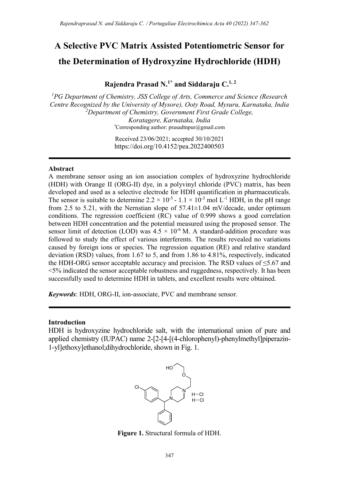# A Selective PVC Matrix Assisted Potentiometric Sensor for the Determination of Hydroxyzine Hydrochloride (HDH)

Rajendra Prasad N.<sup>1\*</sup> and Siddaraju  $C^{1,2}$ 

 ${}^{1}PG$  Department of Chemistry, JSS College of Arts, Commerce and Science (Research Centre Recognized by the University of Mysore), Ooty Road, Mysuru, Karnataka, India  $2$ Department of Chemistry, Government First Grade College, Koratagere, Karnataka, India \*Corresponding author: prasadtnpur@gmail.com

> Received 23/06/2021; accepted 30/10/2021 https://doi.org/10.4152/pea.2022400503

#### **Abstract**

A membrane sensor using an ion association complex of hydroxyzine hydrochloride (HDH) with Orange II (ORG-II) dye, in a polyvinyl chloride (PVC) matrix, has been developed and used as a selective electrode for HDH quantification in pharmaceuticals. The sensor is suitable to determine 2.2  $\times$  10<sup>-5</sup> - 1.1  $\times$  10<sup>-3</sup> mol L<sup>-1</sup> HDH, in the pH range from 2.5 to 5.21, with the Nernstian slope of  $57.41\pm1.04$  mV/decade, under optimum conditions. The regression coefficient (RC) value of 0.999 shows a good correlation between HDH concentration and the potential measured using the proposed sensor. The sensor limit of detection (LOD) was  $4.5 \times 10^{-6}$  M. A standard-addition procedure was followed to study the effect of various interferents. The results revealed no variations caused by foreign ions or species. The regression equation (RE) and relative standard deviation (RSD) values, from 1.67 to 5, and from 1.86 to 4.81%, respectively, indicated the HDH-ORG sensor acceptable accuracy and precision. The RSD values of  $\leq$ 5.67 and <5% indicated the sensor acceptable robustness and ruggedness, respectively. It has been successfully used to determine HDH in tablets, and excellent results were obtained.

Keywords: HDH, ORG-II, ion-associate, PVC and membrane sensor.

### Introduction

HDH is hydroxyzine hydrochloride salt, with the international union of pure and applied chemistry (IUPAC) name 2-[2-[4-[(4-chlorophenyl)-phenylmethyl]piperazin-1-yl]ethoxy]ethanol;dihydrochloride, shown in Fig. 1.



Figure 1. Structural formula of HDH.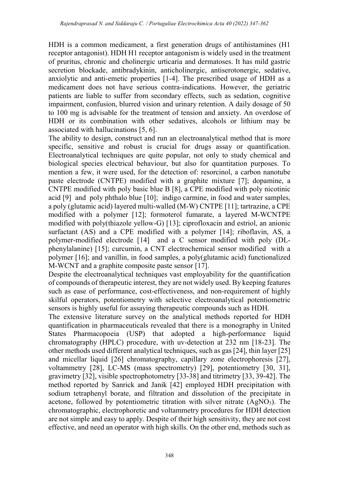HDH is a common medicament, a first generation drugs of antihistamines (H1 receptor antagonist). HDH H1 receptor antagonism is widely used in the treatment of pruritus, chronic and cholinergic urticaria and dermatoses. It has mild gastric secretion blockade, antibradykinin, anticholinergic, antiserotonergic, sedative, anxiolytic and anti-emetic properties [1-4]. The prescribed usage of HDH as a medicament does not have serious contra-indications. However, the geriatric patients are liable to suffer from secondary effects, such as sedation, cognitive impairment, confusion, blurred vision and urinary retention. A daily dosage of 50 to 100 mg is advisable for the treatment of tension and anxiety. An overdose of HDH or its combination with other sedatives, alcohols or lithium may be associated with hallucinations [5, 6].

The ability to design, construct and run an electroanalytical method that is more specific, sensitive and robust is crucial for drugs assay or quantification. Electroanalytical techniques are quite popular, not only to study chemical and biological species electrical behaviour, but also for quantitation purposes. To mention a few, it were used, for the detection of: resorcinol, a carbon nanotube paste electrode (CNTPE) modified with a graphite mixture [7]; dopamine, a CNTPE modified with poly basic blue B [8], a CPE modified with poly nicotinic acid [9] and poly phthalo blue [10]; indigo carmine, in food and water samples, a poly (glutamic acid) layered multi-walled (M-W) CNTPE [11]; tartrazine, a CPE modified with a polymer [12]; formoterol fumarate, a layered M-WCNTPE modified with poly(thiazole yellow-G) [13]; ciprofloxacin and estriol, an anionic surfactant (AS) and a CPE modified with a polymer [14]; riboflavin, AS, a polymer-modified electrode [14] and a C sensor modified with poly (DLphenylalanine) [15]; curcumin, a CNT electrochemical sensor modified with a polymer [16]; and vanillin, in food samples, a poly(glutamic acid) functionalized M-WCNT and a graphite composite paste sensor [17].

Despite the electroanalytical techniques vast employability for the quantification of compounds of therapeutic interest, they are not widely used. By keeping features such as ease of performance, cost-effectiveness, and non-requirement of highly skilful operators, potentiometry with selective electroanalytical potentiometric sensors is highly useful for assaying therapeutic compounds such as HDH.

The extensive literature survey on the analytical methods reported for HDH quantification in pharmaceuticals revealed that there is a monography in United States Pharmacopoeia (USP) that adopted a high-performance liquid chromatography (HPLC) procedure, with uv-detection at 232 nm [18-23]. The other methods used different analytical techniques, such as gas [24], thin layer [25] and micellar liquid [26] chromatography, capillary zone electrophoresis [27], voltammetry [28], LC-MS (mass spectrometry) [29], potentiometry [30, 31], gravimetry [32], visible spectrophotometry [33-38] and titrimetry [33, 39-42]. The method reported by Sanrick and Janik [42] employed HDH precipitation with sodium tetraphenyl borate, and filtration and dissolution of the precipitate in acetone, followed by potentiometric titration with silver nitrate  $(AgNO<sub>3</sub>)$ . The chromatographic, electrophoretic and voltammetry procedures for HDH detection are not simple and easy to apply. Despite of their high sensitivity, they are not cost effective, and need an operator with high skills. On the other end, methods such as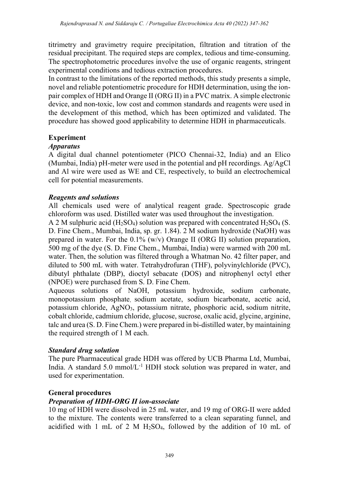titrimetry and gravimetry require precipitation, filtration and titration of the residual precipitant. The required steps are complex, tedious and time-consuming. The spectrophotometric procedures involve the use of organic reagents, stringent experimental conditions and tedious extraction procedures.

In contrast to the limitations of the reported methods, this study presents a simple, novel and reliable potentiometric procedure for HDH determination, using the ionpair complex of HDH and Orange II (ORG II) in a PVC matrix. A simple electronic device, and non-toxic, low cost and common standards and reagents were used in the development of this method, which has been optimized and validated. The procedure has showed good applicability to determine HDH in pharmaceuticals.

## Experiment

## Apparatus

A digital dual channel potentiometer (PICO Chennai-32, India) and an Elico (Mumbai, India) pH-meter were used in the potential and pH recordings. Ag/AgCl and Al wire were used as WE and CE, respectively, to build an electrochemical cell for potential measurements.

## Reagents and solutions

All chemicals used were of analytical reagent grade. Spectroscopic grade chloroform was used. Distilled water was used throughout the investigation.

A 2 M sulphuric acid (H<sub>2</sub>SO<sub>4</sub>) solution was prepared with concentrated H<sub>2</sub>SO<sub>4</sub> (S. D. Fine Chem., Mumbai, India, sp. gr. 1.84). 2 M sodium hydroxide (NaOH) was prepared in water. For the  $0.1\%$  (w/v) Orange II (ORG II) solution preparation, 500 mg of the dye (S. D. Fine Chem., Mumbai, India) were warmed with 200 mL water. Then, the solution was filtered through a Whatman No. 42 filter paper, and diluted to 500 mL with water. Tetrahydrofuran (THF), polyvinylchloride (PVC), dibutyl phthalate (DBP), dioctyl sebacate (DOS) and nitrophenyl octyl ether (NPOE) were purchased from S. D. Fine Chem.

Aqueous solutions of NaOH, potassium hydroxide, sodium carbonate, monopotassium phosphate, sodium acetate, sodium bicarbonate, acetic acid, potassium chloride, AgNO3, potassium nitrate, phosphoric acid, sodium nitrite, cobalt chloride, cadmium chloride, glucose, sucrose, oxalic acid, glycine, arginine, talc and urea (S. D. Fine Chem.) were prepared in bi-distilled water, by maintaining the required strength of 1 M each.

## Standard drug solution

The pure Pharmaceutical grade HDH was offered by UCB Pharma Ltd, Mumbai, India. A standard  $5.0 \text{ mmol/L}^{-1}$  HDH stock solution was prepared in water, and used for experimentation.

# General procedures

# Preparation of HDH-ORG II ion-associate

10 mg of HDH were dissolved in 25 mL water, and 19 mg of ORG-II were added to the mixture. The contents were transferred to a clean separating funnel, and acidified with 1 mL of 2 M  $H<sub>2</sub>SO<sub>4</sub>$ , followed by the addition of 10 mL of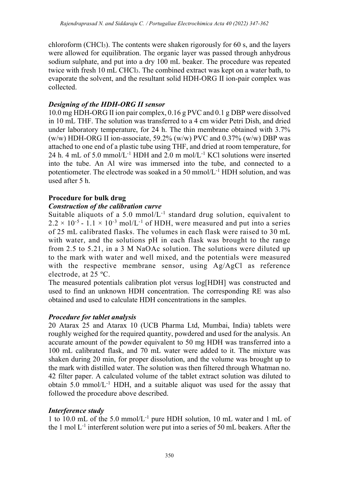chloroform (CHCl<sub>3</sub>). The contents were shaken rigorously for 60 s, and the layers were allowed for equilibration. The organic layer was passed through anhydrous sodium sulphate, and put into a dry 100 mL beaker. The procedure was repeated twice with fresh 10 mL CHCl3. The combined extract was kept on a water bath, to evaporate the solvent, and the resultant solid HDH-ORG II ion-pair complex was collected.

## Designing of the HDH-ORG II sensor

10.0 mg HDH-ORG II ion pair complex, 0.16 g PVC and 0.1 g DBP were dissolved in 10 mL THF. The solution was transferred to a 4 cm wider Petri Dish, and dried under laboratory temperature, for 24 h. The thin membrane obtained with 3.7% (w/w) HDH-ORG II ion-associate, 59.2% (w/w) PVC and  $0.37\%$  (w/w) DBP was attached to one end of a plastic tube using THF, and dried at room temperature, for 24 h. 4 mL of 5.0 mmol/L<sup>-1</sup> HDH and 2.0 m mol/L<sup>-1</sup> KCl solutions were inserted into the tube. An Al wire was immersed into the tube, and connected to a potentiometer. The electrode was soaked in a 50 mmol/ $L^{-1}$  HDH solution, and was used after 5 h.

# Procedure for bulk drug

## Construction of the calibration curve

Suitable aliquots of a 5.0 mmol/ $L^{-1}$  standard drug solution, equivalent to  $2.2 \times 10^{-5}$  -  $1.1 \times 10^{-3}$  mol/L<sup>-1</sup> of HDH, were measured and put into a series of 25 mL calibrated flasks. The volumes in each flask were raised to 30 mL with water, and the solutions pH in each flask was brought to the range from 2.5 to 5.21, in a 3 M NaOAc solution. The solutions were diluted up to the mark with water and well mixed, and the potentials were measured with the respective membrane sensor, using Ag/AgCl as reference electrode, at 25 ºC.

The measured potentials calibration plot versus log[HDH] was constructed and used to find an unknown HDH concentration. The corresponding RE was also obtained and used to calculate HDH concentrations in the samples.

# Procedure for tablet analysis

20 Atarax 25 and Atarax 10 (UCB Pharma Ltd, Mumbai, India) tablets were roughly weighed for the required quantity, powdered and used for the analysis. An accurate amount of the powder equivalent to 50 mg HDH was transferred into a 100 mL calibrated flask, and 70 mL water were added to it. The mixture was shaken during 20 min, for proper dissolution, and the volume was brought up to the mark with distilled water. The solution was then filtered through Whatman no. 42 filter paper. A calculated volume of the tablet extract solution was diluted to obtain  $5.0 \text{ mmol/L}^{-1}$  HDH, and a suitable aliquot was used for the assay that followed the procedure above described.

## Interference study

1 to 10.0 mL of the 5.0 mmol/L-1 pure HDH solution, 10 mL water and 1 mL of the 1 mol  $L^{-1}$  interferent solution were put into a series of 50 mL beakers. After the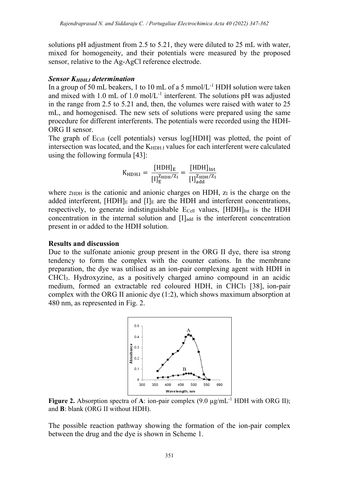solutions pH adjustment from 2.5 to 5.21, they were diluted to 25 mL with water, mixed for homogeneity, and their potentials were measured by the proposed sensor, relative to the Ag-AgCl reference electrode.

## Sensor  $K_{HDH,I}$  determination

In a group of 50 mL beakers, 1 to 10 mL of a 5 mmol/L<sup>-1</sup> HDH solution were taken and mixed with 1.0 mL of 1.0 mol/ $L^{-1}$  interferent. The solutions pH was adjusted in the range from 2.5 to 5.21 and, then, the volumes were raised with water to 25 mL, and homogenised. The new sets of solutions were prepared using the same procedure for different interferents. The potentials were recorded using the HDH-ORG II sensor.

The graph of  $E_{Cell}$  (cell potentials) versus log[HDH] was plotted, the point of intersection was located, and the K<sub>HDH.I</sub> values for each interferent were calculated using the following formula [43]:

$$
K_{\mathrm{HDH.I}}=\frac{\left[\mathrm{HDH}\right]_E}{\left[\mathrm{I}\right]_E^{\mathrm{ZHDH}/\mathrm{Z}_I}}=\frac{\left[\mathrm{HDH}\right]_{\mathrm{Int}}}{\left[\mathrm{I}\right]_{\mathrm{add}}^{\mathrm{ZHDH}/\mathrm{Z}_I}}
$$

where  $z<sub>HDH</sub>$  is the cationic and anionic charges on HDH,  $z<sub>I</sub>$  is the charge on the added interferent,  $[HDH]_E$  and  $[I]_E$  are the HDH and interferent concentrations, respectively, to generate indistinguishable  $E_{Cell}$  values,  $[HDH]_{Int}$  is the HDH concentration in the internal solution and  $[I]_{add}$  is the interferent concentration present in or added to the HDH solution.

## Results and discussion

Due to the sulfonate anionic group present in the ORG II dye, there isa strong tendency to form the complex with the counter cations. In the membrane preparation, the dye was utilised as an ion-pair complexing agent with HDH in CHCl3. Hydroxyzine, as a positively charged amino compound in an acidic medium, formed an extractable red coloured HDH, in CHCl3 [38], ion-pair complex with the ORG II anionic dye (1:2), which shows maximum absorption at 480 nm, as represented in Fig. 2.



Figure 2. Absorption spectra of A: ion-pair complex  $(9.0 \mu g/mL^{-1} HDH$  with ORG II); and B: blank (ORG II without HDH).

The possible reaction pathway showing the formation of the ion-pair complex between the drug and the dye is shown in Scheme 1.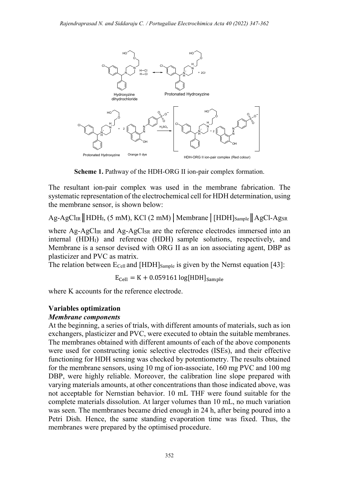

Scheme 1. Pathway of the HDH-ORG II ion-pair complex formation.

The resultant ion-pair complex was used in the membrane fabrication. The systematic representation of the electrochemical cell for HDH determination, using the membrane sensor, is shown below:

 $Ag-AgCl<sub>IR</sub>$ || HDH<sub>I</sub>, (5 mM), KCl (2 mM) | Membrane | [HDH]<sub>Sample</sub>|| AgCl-Ag<sub>SR</sub>

where  $Ag-AgCl_{IR}$  and  $Ag-AgCl_{SR}$  are the reference electrodes immersed into an internal (HDHI) and reference (HDH) sample solutions, respectively, and Membrane is a sensor devised with ORG II as an ion associating agent, DBP as plasticizer and PVC as matrix.

The relation between  $E_{Cell}$  and [HDH] $_{Sample}$  is given by the Nernst equation [43]:

 $E_{cell} = K + 0.059161 \log[HDH]_{Sample}$ 

where K accounts for the reference electrode.

# Variables optimization

## Membrane components

At the beginning, a series of trials, with different amounts of materials, such as ion exchangers, plasticizer and PVC, were executed to obtain the suitable membranes. The membranes obtained with different amounts of each of the above components were used for constructing ionic selective electrodes (ISEs), and their effective functioning for HDH sensing was checked by potentiometry. The results obtained for the membrane sensors, using 10 mg of ion-associate, 160 mg PVC and 100 mg DBP, were highly reliable. Moreover, the calibration line slope prepared with varying materials amounts, at other concentrations than those indicated above, was not acceptable for Nernstian behavior. 10 mL THF were found suitable for the complete materials dissolution. At larger volumes than 10 mL, no much variation was seen. The membranes became dried enough in 24 h, after being poured into a Petri Dish. Hence, the same standing evaporation time was fixed. Thus, the membranes were prepared by the optimised procedure.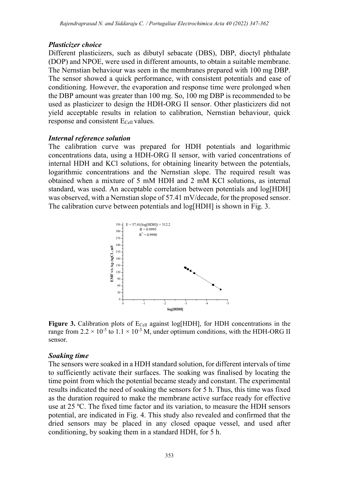## Plasticizer choice

Different plasticizers, such as dibutyl sebacate (DBS), DBP, dioctyl phthalate (DOP) and NPOE, were used in different amounts, to obtain a suitable membrane. The Nernstian behaviour was seen in the membranes prepared with 100 mg DBP. The sensor showed a quick performance, with consistent potentials and ease of conditioning. However, the evaporation and response time were prolonged when the DBP amount was greater than 100 mg. So, 100 mg DBP is recommended to be used as plasticizer to design the HDH-ORG II sensor. Other plasticizers did not yield acceptable results in relation to calibration, Nernstian behaviour, quick response and consistent E<sub>Cell</sub> values.

## Internal reference solution

The calibration curve was prepared for HDH potentials and logarithmic concentrations data, using a HDH-ORG II sensor, with varied concentrations of internal HDH and KCl solutions, for obtaining linearity between the potentials, logarithmic concentrations and the Nernstian slope. The required result was obtained when a mixture of 5 mM HDH and 2 mM KCl solutions, as internal standard, was used. An acceptable correlation between potentials and log[HDH] was observed, with a Nernstian slope of 57.41 mV/decade, for the proposed sensor. The calibration curve between potentials and log[HDH] is shown in Fig. 3.



Figure 3. Calibration plots of  $E_{\text{Cell}}$  against log[HDH], for HDH concentrations in the range from  $2.2 \times 10^{-5}$  to  $1.1 \times 10^{-3}$  M, under optimum conditions, with the HDH-ORG II sensor.

## Soaking time

The sensors were soaked in a HDH standard solution, for different intervals of time to sufficiently activate their surfaces. The soaking was finalised by locating the time point from which the potential became steady and constant. The experimental results indicated the need of soaking the sensors for 5 h. Thus, this time was fixed as the duration required to make the membrane active surface ready for effective use at 25 ºC. The fixed time factor and its variation, to measure the HDH sensors potential, are indicated in Fig. 4. This study also revealed and confirmed that the dried sensors may be placed in any closed opaque vessel, and used after conditioning, by soaking them in a standard HDH, for 5 h.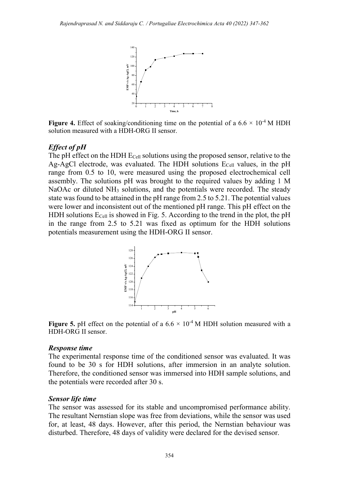

Figure 4. Effect of soaking/conditioning time on the potential of a  $6.6 \times 10^{-4}$  M HDH solution measured with a HDH-ORG II sensor.

### Effect of pH

The pH effect on the HDH  $E_{Cell}$  solutions using the proposed sensor, relative to the Ag-AgCl electrode, was evaluated. The HDH solutions  $E_{Cell}$  values, in the pH range from 0.5 to 10, were measured using the proposed electrochemical cell assembly. The solutions pH was brought to the required values by adding 1 M NaOAc or diluted NH<sub>3</sub> solutions, and the potentials were recorded. The steady state was found to be attained in the pH range from 2.5 to 5.21. The potential values were lower and inconsistent out of the mentioned pH range. This pH effect on the HDH solutions  $E_{Cell}$  is showed in Fig. 5. According to the trend in the plot, the pH in the range from 2.5 to 5.21 was fixed as optimum for the HDH solutions potentials measurement using the HDH-ORG II sensor. ated. The HDH solutions E<sub>Cell</sub> values, in the pH<br>reasured using the proposed electrochemical cell<br>as brought to the required values by adding 1 M<br>as hought to the required values were recorded. The steady<br>the pH range fr



Figure 5. pH effect on the potential of a  $6.6 \times 10^{-4}$  M HDH solution measured with a HDH-ORG II sensor.

#### Response time

The experimental response time of the conditioned sensor was evaluated. It was found to be 30 s for HDH solutions, after immersion in an analyte solution. Therefore, the conditioned sensor was immersed into HDH sample solutions, and the potentials were recorded after 30 s.

#### Sensor life time

The sensor was assessed for its stable and uncompromised performance ability. The resultant Nernstian slope was free from deviations, while the sensor was used for, at least, 48 days. However, after this period, the Nernstian behaviour was disturbed. Therefore, 48 days of validity were declared for the devised sensor.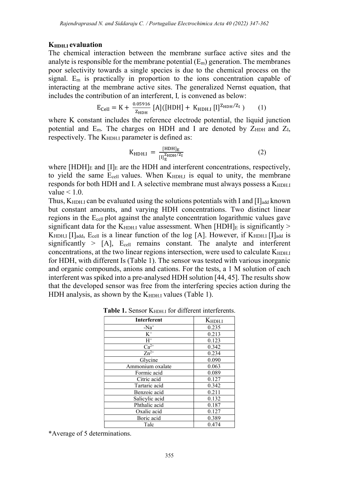#### K<sub>HDH</sub> revaluation

The chemical interaction between the membrane surface active sites and the analyte is responsible for the membrane potential  $(E_m)$  generation. The membranes poor selectivity towards a single species is due to the chemical process on the signal.  $E_m$  is practically in proportion to the ions concentration capable of interacting at the membrane active sites. The generalized Nernst equation, that includes the contribution of an interferent, I, is convened as below:

$$
E_{Cell} = K + \frac{0.05916}{Z_{HDH}} [A] ([HDH] + K_{HDH.I} [I]^{Z_{HDH}/Z_I}) \qquad (1)
$$

where K constant includes the reference electrode potential, the liquid junction potential and  $E_m$ . The charges on HDH and I are denoted by  $Z_{\text{HDH}}$  and  $Z_I$ , respectively. The  $K_{HDH,I}$  parameter is defined as:

$$
K_{\text{HDH.I}} = \frac{[\text{HDH}]_E}{[I]_E^{\text{ZHDH}/Z_I}}
$$
 (2)

where  $[HDH]_E$  and  $[I]_E$  are the HDH and interferent concentrations, respectively, to yield the same  $E_{cell}$  values. When  $K_{HDH,I}$  is equal to unity, the membrane responds for both HDH and I. A selective membrane must always possess a K<sub>HDH.I</sub> value  $< 1.0$ .

Thus,  $K_{HDH,I}$  can be evaluated using the solutions potentials with I and [I]<sub>add</sub> known but constant amounts, and varying HDH concentrations. Two distinct linear regions in the Ecell plot against the analyte concentration logarithmic values gave significant data for the  $K_{HDH,I}$  value assessment. When  $[HDH]_E$  is significantly >  $K<sub>HDH,I</sub>$  [I]<sub>add</sub>, E<sub>cell</sub> is a linear function of the log [A]. However, if  $K<sub>HDH,I</sub>$  [I]<sub>add</sub> is significantly  $>$  [A], E<sub>cell</sub> remains constant. The analyte and interferent concentrations, at the two linear regions intersection, were used to calculate  $K_{HDH,I}$ for HDH, with different Is (Table 1). The sensor was tested with various inorganic and organic compounds, anions and cations. For the tests, a 1 M solution of each interferent was spiked into a pre-analysed HDH solution [44, 45]. The results show that the developed sensor was free from the interfering species action during the HDH analysis, as shown by the  $K_{HDH,I}$  values (Table 1).

| <b>Interferent</b> | $K_{\text{HDH.I}}$ |
|--------------------|--------------------|
| - $Na+$            | 0.235              |
| $\rm K^+$          | 0.213              |
| $H^+$              | 0.123              |
| $Ca^{2+}$          | 0.342              |
| $Zn^{2+}$          | 0.234              |
| Glycine            | 0.090              |
| Ammonium oxalate   | 0.063              |
| Formic acid        | 0.089              |
| Citric acid        | 0.127              |
| Tartaric acid      | 0.342              |
| Benzoic acid       | 0.211              |
| Salicylic acid     | 0.132              |
| Phthalic acid      | 0.187              |
| Oxalic acid        | 0.127              |
| Boric acid         | 0.389              |
| Talc               | 0.474              |

Table 1. Sensor  $K_{\text{HDH,I}}$  for different interferents.

\*Average of 5 determinations.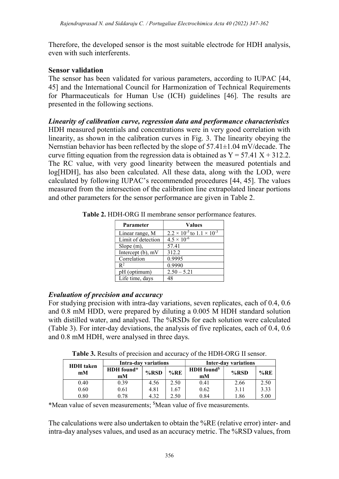Therefore, the developed sensor is the most suitable electrode for HDH analysis, even with such interferents.

## Sensor validation

The sensor has been validated for various parameters, according to IUPAC [44, 45] and the International Council for Harmonization of Technical Requirements for Pharmaceuticals for Human Use (ICH) guidelines [46]. The results are presented in the following sections.

Linearity of calibration curve, regression data and performance characteristics HDH measured potentials and concentrations were in very good correlation with linearity, as shown in the calibration curves in Fig. 3. The linearity obeying the Nernstian behavior has been reflected by the slope of 57.41±1.04 mV/decade. The curve fitting equation from the regression data is obtained as  $Y = 57.41 X + 312.2$ . The RC value, with very good linearity between the measured potentials and log[HDH], has also been calculated. All these data, along with the LOD, were calculated by following IUPAC's recommended procedures [44, 45]. The values measured from the intersection of the calibration line extrapolated linear portions and other parameters for the sensor performance are given in Table 2.

| Parameter          | <b>Values</b>                                |  |  |
|--------------------|----------------------------------------------|--|--|
| Linear range, M    | $2.2 \times 10^{-5}$ to $1.1 \times 10^{-3}$ |  |  |
| Limit of detection | $4.5 \times 10^{-6}$                         |  |  |
| Slope $(m)$ ,      | 57.41                                        |  |  |
| Intercept (b), mV  | 312.2                                        |  |  |
| Correlation        | 0.9995                                       |  |  |
| $\mathbb{R}^2$     | 0.9990                                       |  |  |
| pH (optimum)       | $2.50 - 5.21$                                |  |  |
| Life time, days    | 48                                           |  |  |

Table 2. HDH-ORG II membrane sensor performance features.

## Evaluation of precision and accuracy

For studying precision with intra-day variations, seven replicates, each of 0.4, 0.6 and 0.8 mM HDD, were prepared by diluting a 0.005 M HDH standard solution with distilled water, and analysed. The %RSDs for each solution were calculated (Table 3). For inter-day deviations, the analysis of five replicates, each of 0.4, 0.6 and 0.8 mM HDH, were analysed in three days.

Table 3. Results of precision and accuracy of the HDH-ORG II sensor.

| <b>HDH</b> taken | Intra-day variations |         | <b>Inter-day variations</b> |                               |         |      |
|------------------|----------------------|---------|-----------------------------|-------------------------------|---------|------|
| mM               | HDH found*<br>mM     | $%$ RSD | %RE                         | HDH found <sup>\$</sup><br>mM | $%$ RSD | %RE  |
| 0.40             | 0.39                 | 4.56    | 2.50                        | 0.41                          | 2.66    | 2.50 |
| 0.60             | 0.61                 | 4.81    | .67                         | 0.62                          | 3.11    | 3.33 |
| 0.80             | 0.78                 | 4.32    | 2.50                        | 0.84                          | 1.86    | 5.00 |

\*Mean value of seven measurements; \$Mean value of five measurements.

The calculations were also undertaken to obtain the %RE (relative error) inter- and intra-day analyses values, and used as an accuracy metric. The %RSD values, from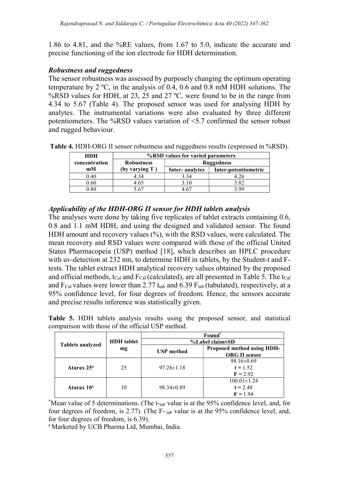1.86 to 4.81, and the %RE values, from 1.67 to 5.0, indicate the accurate and precise functioning of the ion electrode for HDH determination.

## Robustness and ruggedness

The sensor robustness was assessed by purposely changing the optimum operating temperature by 2 ºC, in the analysis of 0.4, 0.6 and 0.8 mM HDH solutions. The %RSD values for HDH, at 23, 25 and 27 °C, were found to be in the range from 4.34 to 5.67 (Table 4). The proposed sensor was used for analysing HDH by analytes. The instrumental variations were also evaluated by three different potentiometers. The %RSD values variation of <5.7 confirmed the sensor robust and rugged behaviour.

Table 4. HDH-ORG II sensor robustness and ruggedness results (expressed in %RSD).

| <b>HDH</b>    | %RSD values for varied parameters |                   |                      |  |  |  |  |
|---------------|-----------------------------------|-------------------|----------------------|--|--|--|--|
| concentration | <b>Robustness</b>                 | <b>Ruggedness</b> |                      |  |  |  |  |
| mM            | (by varying T)                    | Inter-analytes    | Inter-potentiometric |  |  |  |  |
| 0.40          | 4.34                              | 3.34              |                      |  |  |  |  |
| 0.60          | 4.65                              | 3.10              | 3.82                 |  |  |  |  |
| ).80          | 5.67                              |                   | 2 QQ                 |  |  |  |  |

## Applicability of the HDH-ORG II sensor for HDH tablets analysis

The analyses were done by taking five replicates of tablet extracts containing 0.6, 0.8 and 1.1 mM HDH, and using the designed and validated sensor. The found HDH amount and recovery values (%), with the RSD values, were calculated. The mean recovery and RSD values were compared with those of the official United States Pharmacopeia (USP) method [18], which describes an HPLC procedure with uv-detection at 232 nm, to determine HDH in tablets, by the Student-t and Ftests. The tablet extract HDH analytical recovery values obtained by the proposed and official methods,  $t_{Cal}$  and  $F_{Cal}$  (calculated), are all presented in Table 5. The  $t_{Cal}$ and  $F_{Cal}$  values were lower than 2.77 t<sub>tab</sub> and 6.39  $F_{tab}$  (tabulated), respectively, at a 95% confidence level, for four degrees of freedom. Hence, the sensors accurate and precise results inference was statistically given.

Table 5. HDH tablets analysis results using the proposed sensor, and statistical comparison with those of the official USP method.

|                         |                   | Found*<br>$\%$ Label claim $\pm$ SD |                            |  |
|-------------------------|-------------------|-------------------------------------|----------------------------|--|
| <b>Tablets analyzed</b> | <b>HDH</b> tablet |                                     |                            |  |
|                         | mg                | <b>USP</b> method                   | Proposed method using HDH- |  |
|                         |                   |                                     | <b>ORG II sensor</b>       |  |
|                         |                   |                                     | $98.16 \pm 0.69$           |  |
| Atarax 25 <sup>a</sup>  | 25                | $97.26 \pm 1.18$                    | $t = 1.52$                 |  |
|                         |                   |                                     | $F = 2.92$                 |  |
|                         |                   |                                     | $100.01 \pm 1.24$          |  |
| Atarax 10 <sup>a</sup>  | 10                | $98.34 \pm 0.89$                    | $t = 2.48$                 |  |
|                         |                   |                                     | $F = 1.94$                 |  |

\*Mean value of 5 determinations. (The t-tab value is at the 95% confidence level, and, for four degrees of freedom, is 2.77). (The F- tab value is at the 95% confidence level, and, for four degrees of freedom, is 6.39).

<sup>a</sup> Marketed by UCB Pharma Ltd, Mumbai, India.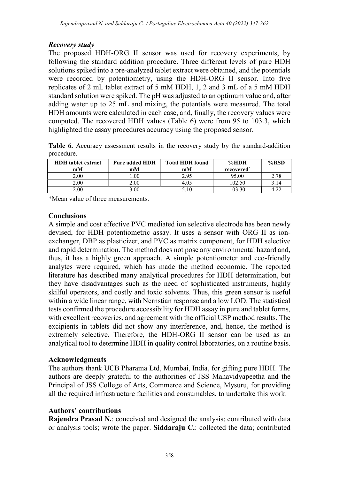## Recovery study

The proposed HDH-ORG II sensor was used for recovery experiments, by following the standard addition procedure. Three different levels of pure HDH solutions spiked into a pre-analyzed tablet extract were obtained, and the potentials were recorded by potentiometry, using the HDH-ORG II sensor. Into five replicates of 2 mL tablet extract of 5 mM HDH, 1, 2 and 3 mL of a 5 mM HDH standard solution were spiked. The pH was adjusted to an optimum value and, after adding water up to 25 mL and mixing, the potentials were measured. The total HDH amounts were calculated in each case, and, finally, the recovery values were computed. The recovered HDH values (Table 6) were from 95 to 103.3, which highlighted the assay procedures accuracy using the proposed sensor.

Table 6. Accuracy assessment results in the recovery study by the standard-addition procedure.

| <b>HDH</b> tablet extract | <b>Total HDH</b> found<br>Pure added HDH |      | %HDH                   | $%$ RSD |
|---------------------------|------------------------------------------|------|------------------------|---------|
| mM                        | mM                                       | mM   | recovered <sup>*</sup> |         |
| 2.00                      | $00$ .                                   | 2.95 | 95.00                  | 2.78    |
| 2.00                      | 2.00                                     | 4.05 | 102.50                 | 3.14    |
| 2.00                      | 3.00                                     | 5.10 | 03.30                  |         |

\*Mean value of three measurements.

## **Conclusions**

A simple and cost effective PVC mediated ion selective electrode has been newly devised, for HDH potentiometric assay. It uses a sensor with ORG II as ionexchanger, DBP as plasticizer, and PVC as matrix component, for HDH selective and rapid determination. The method does not pose any environmental hazard and, thus, it has a highly green approach. A simple potentiometer and eco-friendly analytes were required, which has made the method economic. The reported literature has described many analytical procedures for HDH determination, but they have disadvantages such as the need of sophisticated instruments, highly skilful operators, and costly and toxic solvents. Thus, this green sensor is useful within a wide linear range, with Nernstian response and a low LOD. The statistical tests confirmed the procedure accessibility for HDH assay in pure and tablet forms, with excellent recoveries, and agreement with the official USP method results. The excipients in tablets did not show any interference, and, hence, the method is extremely selective. Therefore, the HDH-ORG II sensor can be used as an analytical tool to determine HDH in quality control laboratories, on a routine basis.

# Acknowledgments

The authors thank UCB Pharama Ltd, Mumbai, India, for gifting pure HDH. The authors are deeply grateful to the authorities of JSS Mahavidyapeetha and the Principal of JSS College of Arts, Commerce and Science, Mysuru, for providing all the required infrastructure facilities and consumables, to undertake this work.

# Authors' contributions

Rajendra Prasad N.: conceived and designed the analysis; contributed with data or analysis tools; wrote the paper. Siddaraju C.: collected the data; contributed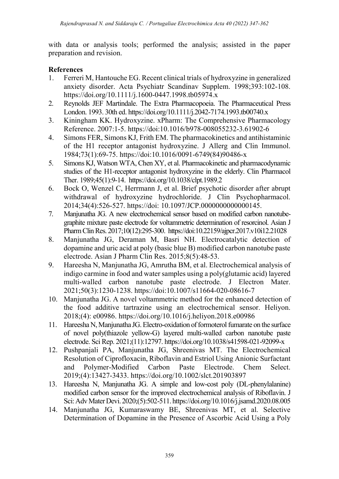with data or analysis tools; performed the analysis; assisted in the paper preparation and revision.

## References

- 1. Ferreri M, Hantouche EG. Recent clinical trials of hydroxyzine in generalized anxiety disorder. Acta Psychiatr Scandinav Supplem. 1998;393:102-108. https://doi.org/10.1111/j.1600-0447.1998.tb05974.x
- 2. Reynolds JEF Martindale. The Extra Pharmacopoeia. The Pharmaceutical Press London. 1993. 30th ed. https://doi.org/10.1111/j.2042-7174.1993.tb00740.x
- 3. Kiningham KK. Hydroxyzine. xPharm: The Comprehensive Pharmacology Reference. 2007:1-5. https://doi:10.1016/b978-008055232-3.61902-6
- 4. Simons FER, Simons KJ, Frith EM. The pharmacokinetics and antihistaminic of the H1 receptor antagonist hydroxyzine. J Allerg and Clin Immunol. 1984;73(1):69-75. https://doi:10.1016/0091-6749(84)90486-x
- 5. Simons KJ, Watson WTA, Chen XY, et al. Pharmacokinetic and pharmacodynamic studies of the H1-receptor antagonist hydroxyzine in the elderly. Clin Pharmacol Ther. 1989;45(1):9-14. https://doi.org/10.1038/clpt.1989.2
- 6. Bock O, Wenzel C, Herrmann J, et al. Brief psychotic disorder after abrupt withdrawal of hydroxyzine hydrochloride. J Clin Psychopharmacol. 2014;34(4):526-527. https://doi: 10.1097/JCP.0000000000000145.
- 7. Manjunatha JG. A new electrochemical sensor based on modified carbon nanotubegraphite mixture paste electrode for voltammetric determination of resorcinol. Asian J Pharm Clin Res. 2017;10(12):295-300. https://doi:10.22159/ajpcr.2017.v10i12.21028
- 8. Manjunatha JG, Deraman M, Basri NH. Electrocatalytic detection of dopamine and uric acid at poly (basic blue B) modified carbon nanotube paste electrode. Asian J Pharm Clin Res. 2015;8(5):48-53.
- 9. Hareesha N, Manjunatha JG, Amrutha BM, et al. Electrochemical analysis of indigo carmine in food and water samples using a poly(glutamic acid) layered multi-walled carbon nanotube paste electrode. J Electron Mater. 2021;50(3):1230-1238. https://doi:10.1007/s11664-020-08616-7
- 10. Manjunatha JG. A novel voltammetric method for the enhanced detection of the food additive tartrazine using an electrochemical sensor. Heliyon. 2018;(4): e00986. https://doi.org/10.1016/j.heliyon.2018.e00986
- 11. Hareesha N, Manjunatha JG. Electro-oxidation of formoterol fumarate on the surface of novel poly(thiazole yellow-G) layered multi-walled carbon nanotube paste electrode. Sci Rep. 2021;(11):12797. https://doi.org/10.1038/s41598-021-92099-x
- 12. Pushpanjali PA, Manjunatha JG, Shreenivas MT. The Electrochemical Resolution of Ciprofloxacin, Riboflavin and Estriol Using Anionic Surfactant and Polymer-Modified Carbon Paste Electrode. Chem Select. 2019;(4):13427-3433. https://doi.org/10.1002/slct.201903897
- 13. Hareesha N, Manjunatha JG. A simple and low-cost poly (DL-phenylalanine) modified carbon sensor for the improved electrochemical analysis of Riboflavin. J Sci: Adv Mater Devi. 2020;(5):502-511. https://doi.org/10.1016/j.jsamd.2020.08.005
- 14. Manjunatha JG, Kumaraswamy BE, Shreenivas MT, et al. Selective Determination of Dopamine in the Presence of Ascorbic Acid Using a Poly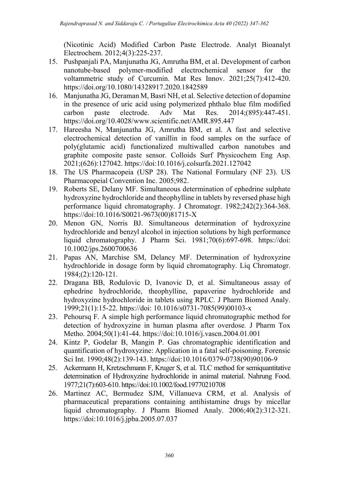(Nicotinic Acid) Modified Carbon Paste Electrode. Analyt Bioanalyt Electrochem. 2012;4(3):225-237.

- 15. Pushpanjali PA, Manjunatha JG, Amrutha BM, et al. Development of carbon nanotube-based polymer-modified electrochemical sensor for the voltammetric study of Curcumin. Mat Res Innov. 2021;25(7):412-420. https://doi.org/10.1080/14328917.2020.1842589
- 16. Manjunatha JG, Deraman M, Basri NH, et al. Selective detection of dopamine in the presence of uric acid using polymerized phthalo blue film modified carbon paste electrode. Adv Mat Res. 2014;(895):447-451. https://doi.org/10.4028/www.scientific.net/AMR.895.447
- 17. Hareesha N, Manjunatha JG, Amrutha BM, et al. A fast and selective electrochemical detection of vanillin in food samples on the surface of poly(glutamic acid) functionalized multiwalled carbon nanotubes and graphite composite paste sensor. Colloids Surf Physicochem Eng Asp. 2021;(626):127042. https://doi:10.1016/j.colsurfa.2021.127042
- 18. The US Pharmacopeia (USP 28). The National Formulary (NF 23). US Pharmacopeial Convention Inc. 2005;982.
- 19. Roberts SE, Delany MF. Simultaneous determination of ephedrine sulphate hydroxyzine hydrochloride and theophylline in tablets by reversed phase high performance liquid chromatography. J Chromatogr. 1982;242(2):364-368. https://doi:10.1016/S0021-9673(00)81715-X
- 20. Menon GN, Norris BJ. Simultaneous determination of hydroxyzine hydrochloride and benzyl alcohol in injection solutions by high performance liquid chromatography. J Pharm Sci. 1981;70(6):697-698. https://doi: 10.1002/jps.2600700636
- 21. Papas AN, Marchise SM, Delancy MF. Determination of hydroxyzine hydrochloride in dosage form by liquid chromatography. Liq Chromatogr. 1984;(2):120-121.
- 22. Dragana BB, Rodulovic D, Ivanovic D, et al. Simultaneous assay of ephedrine hydrochloride, theophylline, papaverine hydrochloride and hydroxyzine hydrochloride in tablets using RPLC. J Pharm Biomed Analy. 1999;21(1):15-22. https://doi: 10.1016/s0731-7085(99)00103-x
- 23. Pehoursq F. A simple high performance liquid chromatographic method for detection of hydroxyzine in human plasma after overdose. J Pharm Tox Metho. 2004;50(1):41-44. https://doi:10.1016/j.vascn.2004.01.001
- 24. Kintz P, Godelar B, Mangin P. Gas chromatographic identification and quantification of hydroxyzine: Application in a fatal self-poisoning. Forensic Sci Int. 1990;48(2):139-143. https://doi:10.1016/0379-0738(90)90106-9
- 25. Ackermann H, Kretzschmann F, Kruger S, et al. TLC method for semiquantitative determination of Hydroxyzine hydrochloride in animal material. Nahrung Food. 1977;21(7):603-610. https://doi:10.1002/food.19770210708
- 26. Martinez AC, Bermudez SJM, Villanueva CRM, et al. Analysis of pharmaceutical preparations containing antihistamine drugs by micellar liquid chromatography. J Pharm Biomed Analy. 2006;40(2):312-321. https://doi:10.1016/j.jpba.2005.07.037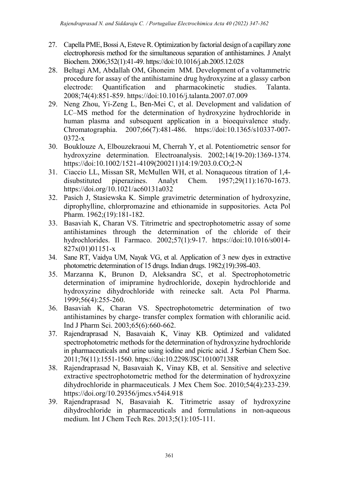- 27. Capella PME, Bossi A, Esteve R. Optimization by factorial design of a capillary zone electrophoresis method for the simultaneous separation of antihistamines. J Analyt Biochem. 2006;352(1):41-49. https://doi:10.1016/j.ab.2005.12.028
- 28. Beltagi AM, Abdallah OM, Ghoneim MM. Development of a voltammetric procedure for assay of the antihistamine drug hydroxyzine at a glassy carbon electrode: Quantification and pharmacokinetic studies. Talanta. 2008;74(4):851-859. https://doi:10.1016/j.talanta.2007.07.009
- 29. Neng Zhou, Yi-Zeng L, Ben-Mei C, et al. Development and validation of LC–MS method for the determination of hydroxyzine hydrochloride in human plasma and subsequent application in a bioequivalence study. Chromatographia. 2007;66(7):481-486. https://doi:10.1365/s10337-007- 0372-x
- 30. Bouklouze A, Elbouzekraoui M, Cherrah Y, et al. Potentiometric sensor for hydroxyzine determination. Electroanalysis. 2002;14(19-20):1369-1374. https://doi:10.1002/1521-4109(200211)14:19/203.0.CO;2-N
- 31. Ciaccio LL, Missan SR, McMullen WH, et al. Nonaqueous titration of 1,4 disubstituted piperazines. Analyt Chem. 1957;29(11):1670-1673. https://doi.org/10.1021/ac60131a032
- 32. Pasich J, Stasiewska K. Simple gravimetric determination of hydroxyzine, diprophylline, chlorpromazine and ethionamide in suppositories. Acta Pol Pharm. 1962;(19):181-182.
- 33. Basaviah K, Charan VS. Titrimetric and spectrophotometric assay of some antihistamines through the determination of the chloride of their hydrochlorides. Il Farmaco. 2002;57(1):9-17. https://doi:10.1016/s0014- 827x(01)01151-x
- 34. Sane RT, Vaidya UM, Nayak VG, et al. Application of 3 new dyes in extractive photometric determination of 15 drugs. Indian drugs. 1982;(19):398-403.
- 35. Marzanna K, Brunon D, Aleksandra SC, et al. Spectrophotometric determination of imipramine hydrochloride, doxepin hydrochloride and hydroxyzine dihydrochloride with reinecke salt. Acta Pol Pharma. 1999;56(4):255-260.
- 36. Basaviah K, Charan VS. Spectrophotometric determination of two antihistamines by charge- transfer complex formation with chloranilic acid. Ind J Pharm Sci. 2003;65(6):660-662.
- 37. Rajendraprasad N, Basavaiah K, Vinay KB. Optimized and validated spectrophotometric methods for the determination of hydroxyzine hydrochloride in pharmaceuticals and urine using iodine and picric acid. J Serbian Chem Soc. 2011;76(11):1551-1560. https://doi:10.2298/JSC101007138R
- 38. Rajendraprasad N, Basavaiah K, Vinay KB, et al. Sensitive and selective extractive spectrophotometric method for the determination of hydroxyzine dihydrochloride in pharmaceuticals. J Mex Chem Soc. 2010;54(4):233-239. https://doi.org/10.29356/jmcs.v54i4.918
- 39. Rajendraprasad N, Basavaiah K. Titrimetric assay of hydroxyzine dihydrochloride in pharmaceuticals and formulations in non-aqueous medium. Int J Chem Tech Res. 2013;5(1):105-111.